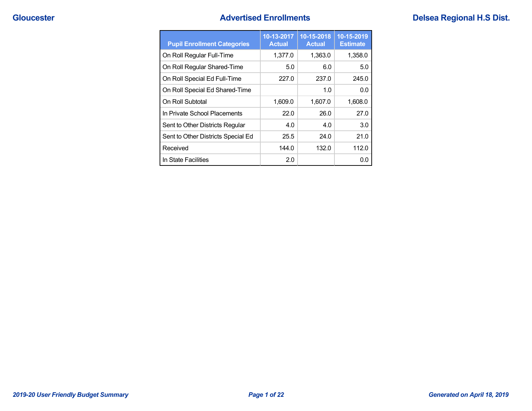| <b>Pupil Enrollment Categories</b> | 10-13-2017<br><b>Actual</b> | 10-15-2018<br><b>Actual</b> | 10-15-2019<br><b>Estimate</b> |
|------------------------------------|-----------------------------|-----------------------------|-------------------------------|
| On Roll Regular Full-Time          | 1,377.0                     | 1.363.0                     | 1,358.0                       |
| On Roll Regular Shared-Time        | 5.0                         | 6.0                         | 5.0                           |
| On Roll Special Ed Full-Time       | 227.0                       | 237.0                       | 245.0                         |
| On Roll Special Ed Shared-Time     |                             | 1.0                         | 0.0                           |
| On Roll Subtotal                   | 1,609.0                     | 1,607.0                     | 1,608.0                       |
| In Private School Placements       | 22.0                        | 26.0                        | 27.0                          |
| Sent to Other Districts Regular    | 4.0                         | 4.0                         | 3.0                           |
| Sent to Other Districts Special Ed | 25.5                        | 24.0                        | 21.0                          |
| Received                           | 144.0                       | 132.0                       | 112.0                         |
| In State Facilities                | 2.0                         |                             | 0.0                           |

## **Cloucester Advertised Enrollments Delsea Regional H.S Dist. Cloucester Advertised Enrollments**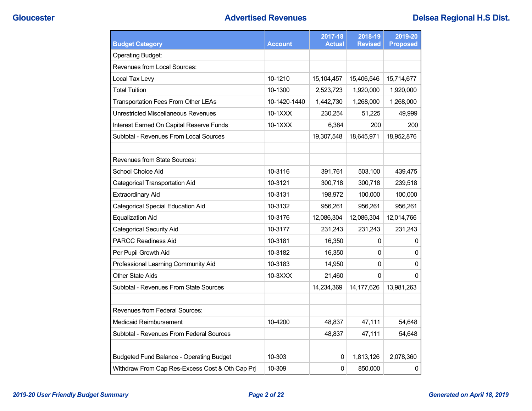| <b>Budget Category</b>                          | <b>Account</b> | 2017-18<br><b>Actual</b> | 2018-19<br><b>Revised</b> | 2019-20<br><b>Proposed</b> |
|-------------------------------------------------|----------------|--------------------------|---------------------------|----------------------------|
| <b>Operating Budget:</b>                        |                |                          |                           |                            |
| Revenues from Local Sources:                    |                |                          |                           |                            |
| Local Tax Levy                                  | 10-1210        | 15,104,457               | 15,406,546                | 15,714,677                 |
| <b>Total Tuition</b>                            | 10-1300        | 2,523,723                | 1,920,000                 | 1,920,000                  |
| <b>Transportation Fees From Other LEAs</b>      | 10-1420-1440   | 1,442,730                | 1,268,000                 | 1,268,000                  |
| Unrestricted Miscellaneous Revenues             | $10-1XXX$      | 230,254                  | 51,225                    | 49,999                     |
| Interest Earned On Capital Reserve Funds        | 10-1XXX        | 6,384                    | 200                       | 200                        |
| Subtotal - Revenues From Local Sources          |                | 19,307,548               | 18,645,971                | 18,952,876                 |
|                                                 |                |                          |                           |                            |
| Revenues from State Sources:                    |                |                          |                           |                            |
| School Choice Aid                               | 10-3116        | 391,761                  | 503,100                   | 439,475                    |
| <b>Categorical Transportation Aid</b>           | 10-3121        | 300,718                  | 300,718                   | 239,518                    |
| Extraordinary Aid                               | 10-3131        | 198,972                  | 100,000                   | 100,000                    |
| Categorical Special Education Aid               | 10-3132        | 956,261                  | 956,261                   | 956,261                    |
| <b>Equalization Aid</b>                         | 10-3176        | 12,086,304               | 12,086,304                | 12,014,766                 |
| <b>Categorical Security Aid</b>                 | 10-3177        | 231,243                  | 231,243                   | 231,243                    |
| <b>PARCC Readiness Aid</b>                      | 10-3181        | 16,350                   | 0                         | 0                          |
| Per Pupil Growth Aid                            | 10-3182        | 16,350                   | 0                         | 0                          |
| Professional Learning Community Aid             | 10-3183        | 14,950                   | 0                         | $\mathbf{0}$               |
| Other State Aids                                | 10-3XXX        | 21,460                   | 0                         | $\Omega$                   |
| Subtotal - Revenues From State Sources          |                | 14,234,369               | 14,177,626                | 13,981,263                 |
|                                                 |                |                          |                           |                            |
| Revenues from Federal Sources:                  |                |                          |                           |                            |
| Medicaid Reimbursement                          | 10-4200        | 48,837                   | 47,111                    | 54,648                     |
| Subtotal - Revenues From Federal Sources        |                | 48,837                   | 47,111                    | 54,648                     |
|                                                 |                |                          |                           |                            |
| Budgeted Fund Balance - Operating Budget        | 10-303         | 0                        | 1,813,126                 | 2,078,360                  |
| Withdraw From Cap Res-Excess Cost & Oth Cap Prj | 10-309         | 0                        | 850,000                   | $\pmb{0}$                  |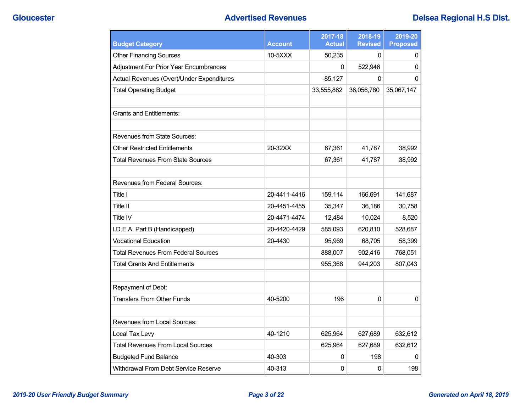| <b>Budget Category</b>                        | <b>Account</b> | 2017-18<br><b>Actual</b> | 2018-19<br><b>Revised</b> | 2019-20<br><b>Proposed</b> |
|-----------------------------------------------|----------------|--------------------------|---------------------------|----------------------------|
| <b>Other Financing Sources</b>                | 10-5XXX        | 50,235                   | 0                         | 0                          |
| <b>Adjustment For Prior Year Encumbrances</b> |                | 0                        | 522,946                   | 0                          |
| Actual Revenues (Over)/Under Expenditures     |                | $-85,127$                | $\mathbf{0}$              | 0                          |
| <b>Total Operating Budget</b>                 |                | 33,555,862               | 36,056,780                | 35,067,147                 |
| <b>Grants and Entitlements:</b>               |                |                          |                           |                            |
| Revenues from State Sources:                  |                |                          |                           |                            |
| Other Restricted Entitlements                 | 20-32XX        | 67,361                   | 41,787                    | 38,992                     |
| <b>Total Revenues From State Sources</b>      |                | 67,361                   | 41,787                    | 38,992                     |
| <b>Revenues from Federal Sources:</b>         |                |                          |                           |                            |
| Title I                                       | 20-4411-4416   | 159,114                  | 166,691                   | 141,687                    |
| Title II                                      | 20-4451-4455   | 35,347                   | 36,186                    | 30,758                     |
| Title IV                                      | 20-4471-4474   | 12,484                   | 10,024                    | 8,520                      |
| I.D.E.A. Part B (Handicapped)                 | 20-4420-4429   | 585,093                  | 620,810                   | 528,687                    |
| <b>Vocational Education</b>                   | 20-4430        | 95,969                   | 68,705                    | 58,399                     |
| <b>Total Revenues From Federal Sources</b>    |                | 888,007                  | 902,416                   | 768,051                    |
| <b>Total Grants And Entitlements</b>          |                | 955,368                  | 944.203                   | 807,043                    |
| Repayment of Debt:                            |                |                          |                           |                            |
| <b>Transfers From Other Funds</b>             | 40-5200        | 196                      | $\mathbf{0}$              | 0                          |
| Revenues from Local Sources:                  |                |                          |                           |                            |
| Local Tax Levy                                | 40-1210        | 625,964                  | 627,689                   | 632,612                    |
| <b>Total Revenues From Local Sources</b>      |                | 625,964                  | 627,689                   | 632,612                    |
| <b>Budgeted Fund Balance</b>                  | 40-303         | 0                        | 198                       | 0                          |
| Withdrawal From Debt Service Reserve          | 40-313         | 0                        | 0                         | 198                        |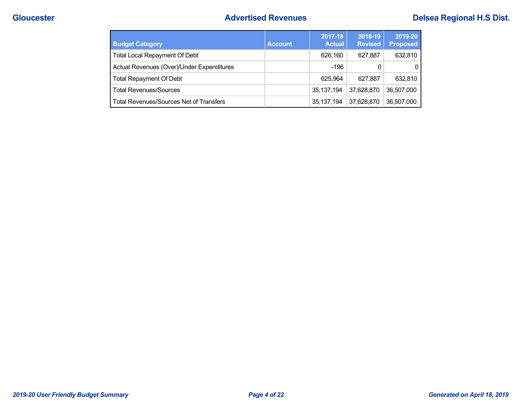## **Cloucester Advertised Revenues Delsea Regional H.S Dist. Cloucester Advertised Revenues Delsea Regional H.S Dist.**

| <b>Budget Category</b>                         | <b>Account</b> | 2017-18<br><b>Actual</b> | 2018-19<br><b>Revised</b> | 2019-20<br><b>Proposed</b> |
|------------------------------------------------|----------------|--------------------------|---------------------------|----------------------------|
| <b>Total Local Repayment Of Debt</b>           |                | 626.160                  | 627.887                   | 632,810                    |
| Actual Revenues (Over)/Under Expenditures      |                | $-196$                   | 0                         |                            |
| <b>Total Repayment Of Debt</b>                 |                | 625.964                  | 627.887                   | 632,810                    |
| <b>Total Revenues/Sources</b>                  |                | 35,137,194               | 37,628,870                | 36.507.000                 |
| <b>Total Revenues/Sources Net of Transfers</b> |                | 35, 137, 194             | 37,628,870                | 36,507,000                 |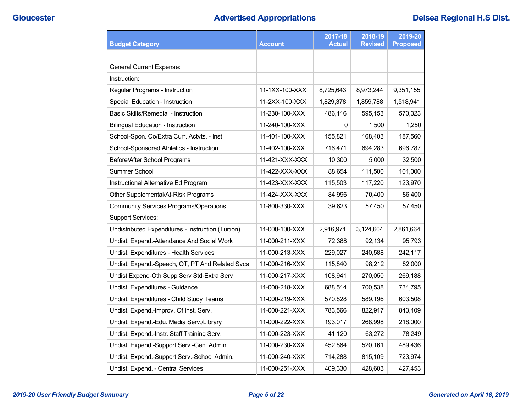| <b>Budget Category</b>                             | <b>Account</b> | 2017-18<br><b>Actual</b> | 2018-19<br><b>Revised</b> | 2019-20<br><b>Proposed</b> |
|----------------------------------------------------|----------------|--------------------------|---------------------------|----------------------------|
|                                                    |                |                          |                           |                            |
| <b>General Current Expense:</b>                    |                |                          |                           |                            |
| Instruction:                                       |                |                          |                           |                            |
| Regular Programs - Instruction                     | 11-1XX-100-XXX | 8,725,643                | 8,973,244                 | 9,351,155                  |
| Special Education - Instruction                    | 11-2XX-100-XXX | 1,829,378                | 1,859,788                 | 1,518,941                  |
| Basic Skills/Remedial - Instruction                | 11-230-100-XXX | 486,116                  | 595,153                   | 570,323                    |
| <b>Bilingual Education - Instruction</b>           | 11-240-100-XXX | 0                        | 1,500                     | 1,250                      |
| School-Spon. Co/Extra Curr. Actvts. - Inst         | 11-401-100-XXX | 155,821                  | 168,403                   | 187,560                    |
| School-Sponsored Athletics - Instruction           | 11-402-100-XXX | 716,471                  | 694,283                   | 696,787                    |
| Before/After School Programs                       | 11-421-XXX-XXX | 10,300                   | 5,000                     | 32,500                     |
| Summer School                                      | 11-422-XXX-XXX | 88,654                   | 111,500                   | 101,000                    |
| Instructional Alternative Ed Program               | 11-423-XXX-XXX | 115,503                  | 117,220                   | 123,970                    |
| Other Supplemental/At-Risk Programs                | 11-424-XXX-XXX | 84.996                   | 70,400                    | 86,400                     |
| <b>Community Services Programs/Operations</b>      | 11-800-330-XXX | 39,623                   | 57,450                    | 57,450                     |
| <b>Support Services:</b>                           |                |                          |                           |                            |
| Undistributed Expenditures - Instruction (Tuition) | 11-000-100-XXX | 2,916,971                | 3,124,604                 | 2,861,664                  |
| Undist. Expend.-Attendance And Social Work         | 11-000-211-XXX | 72,388                   | 92,134                    | 95,793                     |
| Undist. Expenditures - Health Services             | 11-000-213-XXX | 229,027                  | 240,588                   | 242,117                    |
| Undist. Expend.-Speech, OT, PT And Related Svcs    | 11-000-216-XXX | 115,840                  | 98,212                    | 82,000                     |
| Undist Expend-Oth Supp Serv Std-Extra Serv         | 11-000-217-XXX | 108,941                  | 270,050                   | 269,188                    |
| Undist. Expenditures - Guidance                    | 11-000-218-XXX | 688,514                  | 700,538                   | 734,795                    |
| Undist. Expenditures - Child Study Teams           | 11-000-219-XXX | 570,828                  | 589,196                   | 603,508                    |
| Undist. Expend.-Improv. Of Inst. Serv.             | 11-000-221-XXX | 783,566                  | 822,917                   | 843,409                    |
| Undist. Expend.-Edu. Media Serv./Library           | 11-000-222-XXX | 193,017                  | 268,998                   | 218,000                    |
| Undist. Expend.-Instr. Staff Training Serv.        | 11-000-223-XXX | 41,120                   | 63,272                    | 78,249                     |
| Undist. Expend.-Support Serv.-Gen. Admin.          | 11-000-230-XXX | 452,864                  | 520,161                   | 489,436                    |
| Undist. Expend.-Support Serv.-School Admin.        | 11-000-240-XXX | 714,288                  | 815,109                   | 723,974                    |
| Undist. Expend. - Central Services                 | 11-000-251-XXX | 409,330                  | 428,603                   | 427,453                    |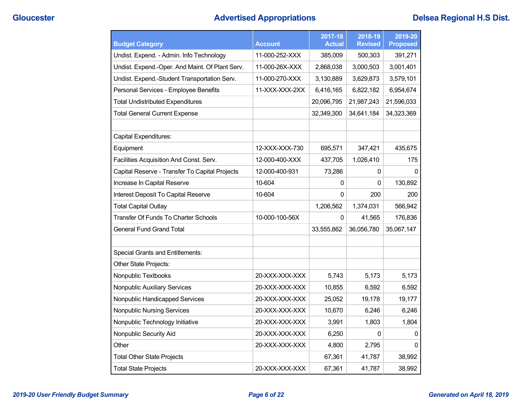# **Gloucester Advertised Appropriations Delsea Regional H.S Dist.**

| <b>Budget Category</b>                          | Account        | 2017-18<br><b>Actual</b> | 2018-19<br><b>Revised</b> | 2019-20<br><b>Proposed</b> |
|-------------------------------------------------|----------------|--------------------------|---------------------------|----------------------------|
| Undist. Expend. - Admin. Info Technology        | 11-000-252-XXX | 385,009                  | 500,303                   | 391,271                    |
| Undist. Expend.-Oper. And Maint. Of Plant Serv. | 11-000-26X-XXX | 2,868,038                | 3,000,503                 | 3,001,401                  |
| Undist. Expend.-Student Transportation Serv.    | 11-000-270-XXX | 3,130,889                | 3,629,873                 | 3,579,101                  |
| Personal Services - Employee Benefits           | 11-XXX-XXX-2XX | 6,416,165                | 6,822,182                 | 6,954,674                  |
| <b>Total Undistributed Expenditures</b>         |                | 20,096,795               | 21,987,243                | 21,596,033                 |
| <b>Total General Current Expense</b>            |                | 32,349,300               | 34,641,184                | 34,323,369                 |
|                                                 |                |                          |                           |                            |
| Capital Expenditures:                           |                |                          |                           |                            |
| Equipment                                       | 12-XXX-XXX-730 | 695,571                  | 347,421                   | 435,675                    |
| Facilities Acquisition And Const. Serv.         | 12-000-400-XXX | 437,705                  | 1,026,410                 | 175                        |
| Capital Reserve - Transfer To Capital Projects  | 12-000-400-931 | 73,286                   | 0                         | $\mathbf{0}$               |
| Increase In Capital Reserve                     | 10-604         | 0                        | 0                         | 130,892                    |
| Interest Deposit To Capital Reserve             | 10-604         | 0                        | 200                       | 200                        |
| <b>Total Capital Outlay</b>                     |                | 1,206,562                | 1,374,031                 | 566,942                    |
| Transfer Of Funds To Charter Schools            | 10-000-100-56X | 0                        | 41,565                    | 176,836                    |
| General Fund Grand Total                        |                | 33,555,862               | 36,056,780                | 35,067,147                 |
|                                                 |                |                          |                           |                            |
| <b>Special Grants and Entitlements:</b>         |                |                          |                           |                            |
| Other State Projects:                           |                |                          |                           |                            |
| Nonpublic Textbooks                             | 20-XXX-XXX-XXX | 5,743                    | 5,173                     | 5,173                      |
| Nonpublic Auxiliary Services                    | 20-XXX-XXX-XXX | 10,855                   | 6,592                     | 6,592                      |
| Nonpublic Handicapped Services                  | 20-XXX-XXX-XXX | 25,052                   | 19,178                    | 19,177                     |
| Nonpublic Nursing Services                      | 20-XXX-XXX-XXX | 10,670                   | 6,246                     | 6,246                      |
| Nonpublic Technology Initiative                 | 20-XXX-XXX-XXX | 3,991                    | 1,803                     | 1,804                      |
| Nonpublic Security Aid                          | 20-XXX-XXX-XXX | 6,250                    | 0                         | 0                          |
| Other                                           | 20-XXX-XXX-XXX | 4,800                    | 2,795                     | 0                          |
| <b>Total Other State Projects</b>               |                | 67,361                   | 41,787                    | 38,992                     |
| <b>Total State Projects</b>                     | 20-XXX-XXX-XXX | 67,361                   | 41.787                    | 38,992                     |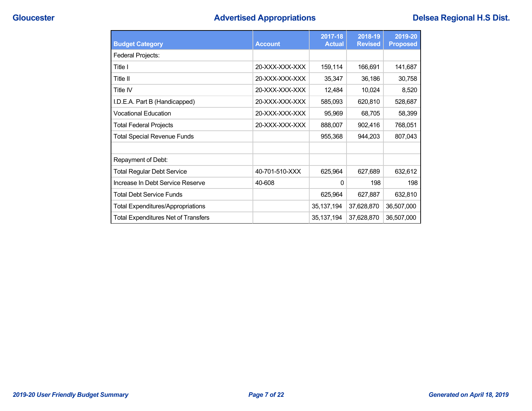# **Gloucester Advertised Appropriations Delsea Regional H.S Dist.**

| <b>Budget Category</b>                     | <b>Account</b> | 2017-18<br><b>Actual</b> | 2018-19<br><b>Revised</b> | 2019-20<br><b>Proposed</b> |
|--------------------------------------------|----------------|--------------------------|---------------------------|----------------------------|
| Federal Projects:                          |                |                          |                           |                            |
| Title I                                    | 20-XXX-XXX-XXX | 159,114                  | 166,691                   | 141,687                    |
| Title II                                   | 20-XXX-XXX-XXX | 35,347                   | 36,186                    | 30,758                     |
| Title IV                                   | 20-XXX-XXX-XXX | 12,484                   | 10,024                    | 8,520                      |
| I.D.E.A. Part B (Handicapped)              | 20-XXX-XXX-XXX | 585,093                  | 620,810                   | 528,687                    |
| <b>Vocational Education</b>                | 20-XXX-XXX-XXX | 95,969                   | 68,705                    | 58,399                     |
| <b>Total Federal Projects</b>              | 20-XXX-XXX-XXX | 888,007                  | 902,416                   | 768,051                    |
| <b>Total Special Revenue Funds</b>         |                | 955,368                  | 944,203                   | 807,043                    |
|                                            |                |                          |                           |                            |
| Repayment of Debt:                         |                |                          |                           |                            |
| <b>Total Regular Debt Service</b>          | 40-701-510-XXX | 625,964                  | 627,689                   | 632,612                    |
| Increase In Debt Service Reserve           | 40-608         | $\Omega$                 | 198                       | 198                        |
| <b>Total Debt Service Funds</b>            |                | 625,964                  | 627,887                   | 632,810                    |
| <b>Total Expenditures/Appropriations</b>   |                | 35, 137, 194             | 37,628,870                | 36,507,000                 |
| <b>Total Expenditures Net of Transfers</b> |                | 35, 137, 194             | 37,628,870                | 36,507,000                 |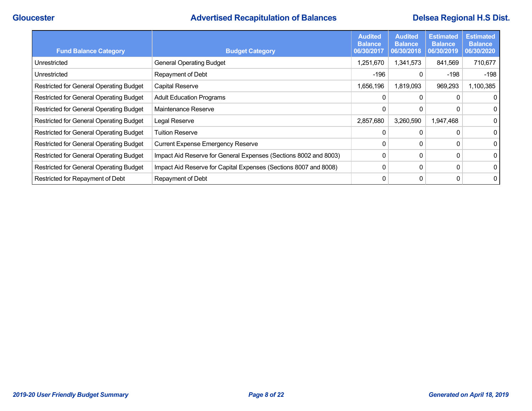# **Cloucester Advertised Recapitulation of Balances Delsea Regional H.S Dist.**<br> **Advertised Recapitulation of Balances**

| <b>Fund Balance Category</b>                   | <b>Budget Category</b>                                           | <b>Audited</b><br><b>Balance</b><br>06/30/2017 | <b>Audited</b><br><b>Balance</b><br>06/30/2018 | <b>Estimated</b><br><b>Balance</b><br>06/30/2019 | <b>Estimated</b><br><b>Balance</b><br>06/30/2020 |
|------------------------------------------------|------------------------------------------------------------------|------------------------------------------------|------------------------------------------------|--------------------------------------------------|--------------------------------------------------|
| Unrestricted                                   | <b>General Operating Budget</b>                                  | 1,251,670                                      | 1,341,573                                      | 841,569                                          | 710,677                                          |
| Unrestricted                                   | Repayment of Debt                                                | -196                                           | 0                                              | $-198$                                           | -198                                             |
| Restricted for General Operating Budget        | Capital Reserve                                                  | 1,656,196                                      | 1,819,093                                      | 969,293                                          | 1,100,385                                        |
| Restricted for General Operating Budget        | <b>Adult Education Programs</b>                                  | 0                                              | 0                                              |                                                  | $\overline{0}$                                   |
| Restricted for General Operating Budget        | Maintenance Reserve                                              | 0                                              | 0                                              |                                                  | $\overline{0}$                                   |
| <b>Restricted for General Operating Budget</b> | Legal Reserve                                                    | 2,857,680                                      | 3,260,590                                      | 1,947,468                                        | $\overline{0}$                                   |
| <b>Restricted for General Operating Budget</b> | <b>Tuition Reserve</b>                                           | $\mathbf{0}$                                   | 0                                              |                                                  | $\overline{0}$                                   |
| Restricted for General Operating Budget        | <b>Current Expense Emergency Reserve</b>                         | 0                                              | 0                                              |                                                  | $\overline{0}$                                   |
| Restricted for General Operating Budget        | Impact Aid Reserve for General Expenses (Sections 8002 and 8003) | 0                                              | 0                                              | 0                                                | $\overline{0}$                                   |
| Restricted for General Operating Budget        | Impact Aid Reserve for Capital Expenses (Sections 8007 and 8008) | 0                                              | 0                                              | 0                                                | $\overline{0}$                                   |
| Restricted for Repayment of Debt               | Repayment of Debt                                                | 0                                              | 0                                              |                                                  | $\overline{0}$                                   |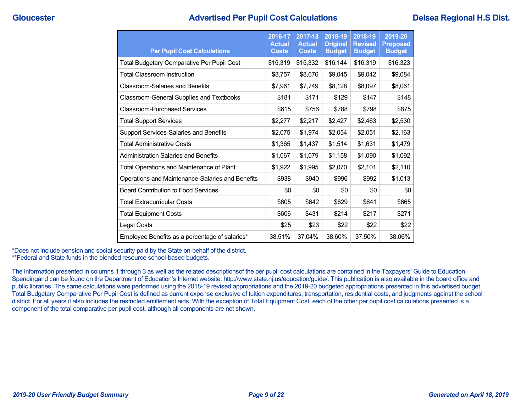## **Gloucester Advertised Per Pupil Cost Calculations Delsea Regional H.S Dist.**

| <b>Per Pupil Cost Calculations</b>                | 2016-17<br><b>Actual</b><br><b>Costs</b> | 2017-18<br><b>Actual</b><br><b>Costs</b> | 2018-19<br><b>Original</b><br><b>Budget</b> | 2018-19<br><b>Revised</b><br><b>Budget</b> | 2019-20<br><b>Proposed</b><br><b>Budget</b> |
|---------------------------------------------------|------------------------------------------|------------------------------------------|---------------------------------------------|--------------------------------------------|---------------------------------------------|
| <b>Total Budgetary Comparative Per Pupil Cost</b> | \$15,319                                 | \$15,332                                 | \$16,144                                    | \$16,319                                   | \$16,323                                    |
| <b>Total Classroom Instruction</b>                | \$8,757                                  | \$8,676                                  | \$9,045                                     | \$9,042                                    | \$9,084                                     |
| <b>Classroom-Salaries and Benefits</b>            | \$7,961                                  | \$7,749                                  | \$8,128                                     | \$8,097                                    | \$8,061                                     |
| <b>Classroom-General Supplies and Textbooks</b>   | \$181                                    | \$171                                    | \$129                                       | \$147                                      | \$148                                       |
| <b>Classroom-Purchased Services</b>               | \$615                                    | \$756                                    | \$788                                       | \$798                                      | \$875                                       |
| <b>Total Support Services</b>                     | \$2,277                                  | \$2,217                                  | \$2,427                                     | \$2,463                                    | \$2,530                                     |
| Support Services-Salaries and Benefits            | \$2,075                                  | \$1,974                                  | \$2,054                                     | \$2,051                                    | \$2,163                                     |
| <b>Total Administrative Costs</b>                 | \$1,365                                  | \$1,437                                  | \$1,514                                     | \$1,631                                    | \$1,479                                     |
| <b>Administration Salaries and Benefits</b>       | \$1,067                                  | \$1,079                                  | \$1,158                                     | \$1,090                                    | \$1,092                                     |
| Total Operations and Maintenance of Plant         | \$1,922                                  | \$1,995                                  | \$2,070                                     | \$2,101                                    | \$2,110                                     |
| Operations and Maintenance-Salaries and Benefits  | \$938                                    | \$940                                    | \$996                                       | \$992                                      | \$1,013                                     |
| <b>Board Contribution to Food Services</b>        | \$0                                      | \$0                                      | \$0                                         | \$0                                        | \$0                                         |
| <b>Total Extracurricular Costs</b>                | \$605                                    | \$642                                    | \$629                                       | \$641                                      | \$665                                       |
| <b>Total Equipment Costs</b>                      | \$606                                    | \$431                                    | \$214                                       | \$217                                      | \$271                                       |
| Legal Costs                                       | \$25                                     | \$23                                     | \$22                                        | \$22                                       | \$22                                        |
| Employee Benefits as a percentage of salaries*    | 38.51%                                   | 37.04%                                   | 38.60%                                      | 37.50%                                     | 38.06%                                      |

\*Does not include pension and social security paid by the State on-behalf of the district. \*\*Federal and State funds in the blended resource school-based budgets.

The information presented in columns 1 through 3 as well as the related descriptionsof the per pupil cost calculations are contained in the Taxpayers' Guide to Education Spendingand can be found on the Department of Education's Internet website: http://www.state.nj.us/education/guide/. This publication is also available in the board office and public libraries. The same calculations were performed using the 2018-19 revised appropriations and the 2019-20 budgeted appropriations presented in this advertised budget. Total Budgetary Comparative Per Pupil Cost is defined as current expense exclusive of tuition expenditures, transportation, residential costs, and judgments against the school district. For all years it also includes the restricted entitlement aids. With the exception of Total Equipment Cost, each of the other per pupil cost calculations presented is a component of the total comparative per pupil cost, although all components are not shown.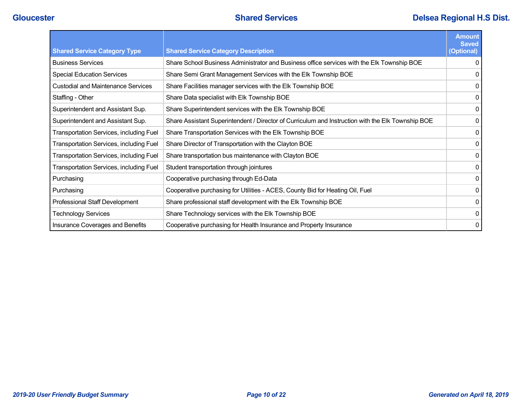|                                                |                                                                                                   | <b>Amount</b><br><b>Saved</b> |
|------------------------------------------------|---------------------------------------------------------------------------------------------------|-------------------------------|
| <b>Shared Service Category Type</b>            | <b>Shared Service Category Description</b>                                                        | (Optional)                    |
| <b>Business Services</b>                       | Share School Business Administrator and Business office services with the Elk Township BOE        |                               |
| <b>Special Education Services</b>              | Share Semi Grant Management Services with the Elk Township BOE                                    | $\Omega$                      |
| <b>Custodial and Maintenance Services</b>      | Share Facilities manager services with the Elk Township BOE                                       | 0                             |
| Staffing - Other                               | Share Data specialist with Elk Township BOE                                                       |                               |
| Superintendent and Assistant Sup.              | Share Superintendent services with the Elk Township BOE                                           | 0                             |
| Superintendent and Assistant Sup.              | Share Assistant Superintendent / Director of Curriculum and Instruction with the Elk Township BOE | 0                             |
| Transportation Services, including Fuel        | Share Transportation Services with the Elk Township BOE                                           | 0                             |
| <b>Transportation Services, including Fuel</b> | Share Director of Transportation with the Clayton BOE                                             | 0                             |
| Transportation Services, including Fuel        | Share transportation bus maintenance with Clayton BOE                                             | 0                             |
| Transportation Services, including Fuel        | Student transportation through jointures                                                          |                               |
| Purchasing                                     | Cooperative purchasing through Ed-Data                                                            | 0                             |
| Purchasing                                     | Cooperative purchasing for Utilities - ACES, County Bid for Heating Oil, Fuel                     | 0                             |
| Professional Staff Development                 | Share professional staff development with the Elk Township BOE                                    |                               |
| <b>Technology Services</b>                     | Share Technology services with the Elk Township BOE                                               | 0                             |
| Insurance Coverages and Benefits               | Cooperative purchasing for Health Insurance and Property Insurance                                | 0                             |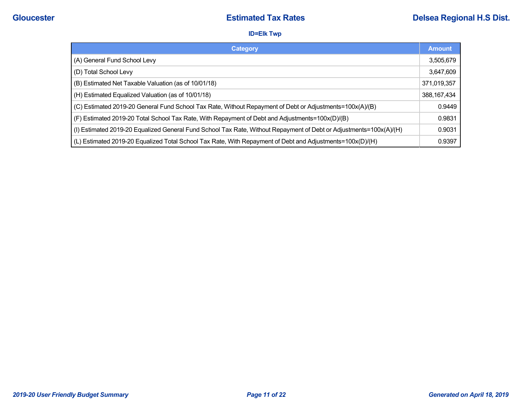### **ID=Elk Twp**

| Category                                                                                                           | <b>Amount</b> |
|--------------------------------------------------------------------------------------------------------------------|---------------|
| (A) General Fund School Levy                                                                                       | 3,505,679     |
| (D) Total School Levy                                                                                              | 3,647,609     |
| (B) Estimated Net Taxable Valuation (as of 10/01/18)                                                               | 371,019,357   |
| (H) Estimated Equalized Valuation (as of 10/01/18)                                                                 | 388, 167, 434 |
| (C) Estimated 2019-20 General Fund School Tax Rate, Without Repayment of Debt or Adjustments=100x(A)/(B)           | 0.9449        |
| (F) Estimated 2019-20 Total School Tax Rate, With Repayment of Debt and Adjustments=100x(D)/(B)                    | 0.9831        |
| (I) Estimated 2019-20 Equalized General Fund School Tax Rate, Without Repayment of Debt or Adjustments=100x(A)/(H) | 0.9031        |
| (L) Estimated 2019-20 Equalized Total School Tax Rate, With Repayment of Debt and Adjustments=100x(D)/(H)          | 0.9397        |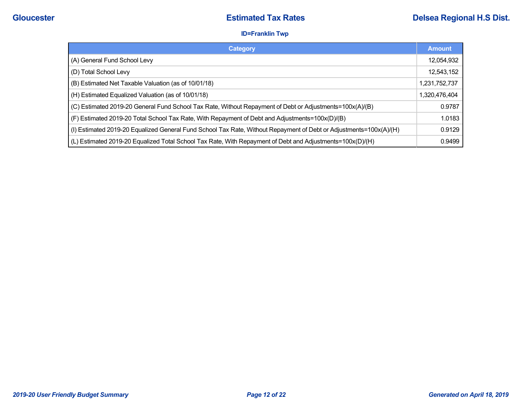### **ID=Franklin Twp**

| Category                                                                                                           | <b>Amount</b> |
|--------------------------------------------------------------------------------------------------------------------|---------------|
| (A) General Fund School Levy                                                                                       | 12,054,932    |
| (D) Total School Levy                                                                                              | 12,543,152    |
| (B) Estimated Net Taxable Valuation (as of 10/01/18)                                                               | 1,231,752,737 |
| (H) Estimated Equalized Valuation (as of 10/01/18)                                                                 | 1,320,476,404 |
| (C) Estimated 2019-20 General Fund School Tax Rate, Without Repayment of Debt or Adjustments=100x(A)/(B)           | 0.9787        |
| (F) Estimated 2019-20 Total School Tax Rate, With Repayment of Debt and Adjustments=100x(D)/(B)                    | 1.0183        |
| (I) Estimated 2019-20 Equalized General Fund School Tax Rate, Without Repayment of Debt or Adjustments=100x(A)/(H) | 0.9129        |
| (L) Estimated 2019-20 Equalized Total School Tax Rate, With Repayment of Debt and Adjustments=100x(D)/(H)          | 0.9499        |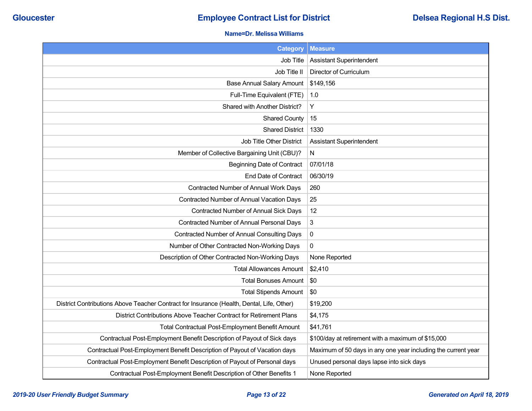### **Name=Dr. Melissa Williams**

| <b>Category</b>                                                                           | <b>Measure</b>                                                |
|-------------------------------------------------------------------------------------------|---------------------------------------------------------------|
| Job Title                                                                                 | <b>Assistant Superintendent</b>                               |
| Job Title II                                                                              | Director of Curriculum                                        |
| <b>Base Annual Salary Amount</b>                                                          | \$149,156                                                     |
| Full-Time Equivalent (FTE)                                                                | 1.0                                                           |
| Shared with Another District?                                                             | Υ                                                             |
| <b>Shared County</b>                                                                      | 15                                                            |
| <b>Shared District</b>                                                                    | 1330                                                          |
| Job Title Other District                                                                  | <b>Assistant Superintendent</b>                               |
| Member of Collective Bargaining Unit (CBU)?                                               | N                                                             |
| <b>Beginning Date of Contract</b>                                                         | 07/01/18                                                      |
| <b>End Date of Contract</b>                                                               | 06/30/19                                                      |
| Contracted Number of Annual Work Days                                                     | 260                                                           |
| Contracted Number of Annual Vacation Days                                                 | 25                                                            |
| Contracted Number of Annual Sick Days                                                     | 12                                                            |
| Contracted Number of Annual Personal Days                                                 | 3                                                             |
| Contracted Number of Annual Consulting Days                                               | $\pmb{0}$                                                     |
| Number of Other Contracted Non-Working Days                                               | $\mathbf{0}$                                                  |
| Description of Other Contracted Non-Working Days                                          | None Reported                                                 |
| <b>Total Allowances Amount</b>                                                            | \$2,410                                                       |
| <b>Total Bonuses Amount</b>                                                               | \$0                                                           |
| <b>Total Stipends Amount</b>                                                              | \$0                                                           |
| District Contributions Above Teacher Contract for Insurance (Health, Dental, Life, Other) | \$19,200                                                      |
| District Contributions Above Teacher Contract for Retirement Plans                        | \$4,175                                                       |
| Total Contractual Post-Employment Benefit Amount                                          | \$41,761                                                      |
| Contractual Post-Employment Benefit Description of Payout of Sick days                    | \$100/day at retirement with a maximum of \$15,000            |
| Contractual Post-Employment Benefit Description of Payout of Vacation days                | Maximum of 50 days in any one year including the current year |
| Contractual Post-Employment Benefit Description of Payout of Personal days                | Unused personal days lapse into sick days                     |
| Contractual Post-Employment Benefit Description of Other Benefits 1                       | None Reported                                                 |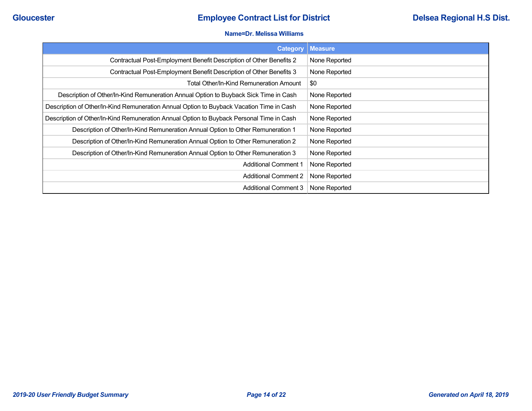#### **Name=Dr. Melissa Williams**

| <b>Category</b>                                                                          | <b>Measure</b> |
|------------------------------------------------------------------------------------------|----------------|
| Contractual Post-Employment Benefit Description of Other Benefits 2                      | None Reported  |
| Contractual Post-Employment Benefit Description of Other Benefits 3                      | None Reported  |
| Total Other/In-Kind Remuneration Amount                                                  | \$0            |
| Description of Other/In-Kind Remuneration Annual Option to Buyback Sick Time in Cash     | None Reported  |
| Description of Other/In-Kind Remuneration Annual Option to Buyback Vacation Time in Cash | None Reported  |
| Description of Other/In-Kind Remuneration Annual Option to Buyback Personal Time in Cash | None Reported  |
| Description of Other/In-Kind Remuneration Annual Option to Other Remuneration 1          | None Reported  |
| Description of Other/In-Kind Remuneration Annual Option to Other Remuneration 2          | None Reported  |
| Description of Other/In-Kind Remuneration Annual Option to Other Remuneration 3          | None Reported  |
| <b>Additional Comment 1</b>                                                              | None Reported  |
| <b>Additional Comment 2</b>                                                              | None Reported  |
| <b>Additional Comment 3</b>                                                              | None Reported  |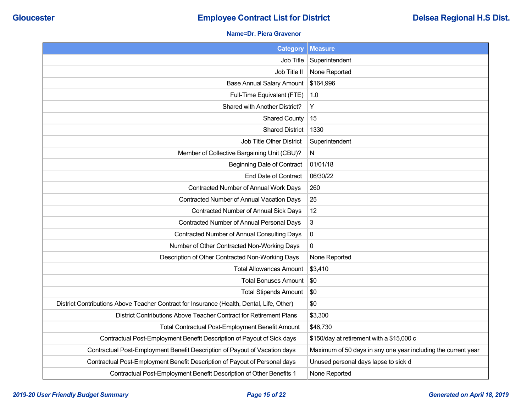### **Name=Dr. Piera Gravenor**

| <b>Category</b>                                                                           | <b>Measure</b>                                                |
|-------------------------------------------------------------------------------------------|---------------------------------------------------------------|
| Job Title                                                                                 | Superintendent                                                |
| Job Title II                                                                              | None Reported                                                 |
| <b>Base Annual Salary Amount</b>                                                          | \$164,996                                                     |
| Full-Time Equivalent (FTE)                                                                | 1.0                                                           |
| Shared with Another District?                                                             | Υ                                                             |
| <b>Shared County</b>                                                                      | 15                                                            |
| <b>Shared District</b>                                                                    | 1330                                                          |
| Job Title Other District                                                                  | Superintendent                                                |
| Member of Collective Bargaining Unit (CBU)?                                               | N                                                             |
| <b>Beginning Date of Contract</b>                                                         | 01/01/18                                                      |
| <b>End Date of Contract</b>                                                               | 06/30/22                                                      |
| Contracted Number of Annual Work Days                                                     | 260                                                           |
| Contracted Number of Annual Vacation Days                                                 | 25                                                            |
| Contracted Number of Annual Sick Days                                                     | 12                                                            |
| Contracted Number of Annual Personal Days                                                 | 3                                                             |
| <b>Contracted Number of Annual Consulting Days</b>                                        | $\pmb{0}$                                                     |
| Number of Other Contracted Non-Working Days                                               | 0                                                             |
| Description of Other Contracted Non-Working Days                                          | None Reported                                                 |
| <b>Total Allowances Amount</b>                                                            | \$3,410                                                       |
| <b>Total Bonuses Amount</b>                                                               | \$0                                                           |
| <b>Total Stipends Amount</b>                                                              | \$0                                                           |
| District Contributions Above Teacher Contract for Insurance (Health, Dental, Life, Other) | \$0                                                           |
| District Contributions Above Teacher Contract for Retirement Plans                        | \$3,300                                                       |
| Total Contractual Post-Employment Benefit Amount                                          | \$46,730                                                      |
| Contractual Post-Employment Benefit Description of Payout of Sick days                    | \$150/day at retirement with a \$15,000 c                     |
| Contractual Post-Employment Benefit Description of Payout of Vacation days                | Maximum of 50 days in any one year including the current year |
| Contractual Post-Employment Benefit Description of Payout of Personal days                | Unused personal days lapse to sick d                          |
| Contractual Post-Employment Benefit Description of Other Benefits 1                       | None Reported                                                 |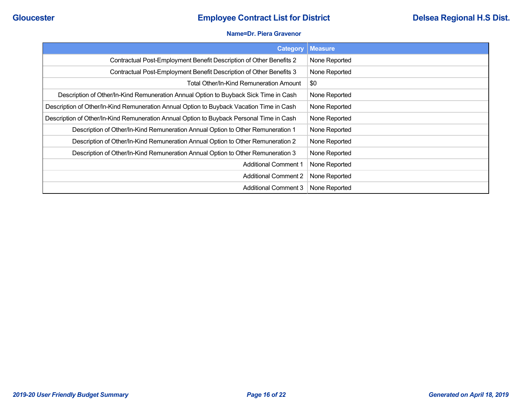#### **Name=Dr. Piera Gravenor**

| <b>Category</b>                                                                          | <b>Measure</b> |
|------------------------------------------------------------------------------------------|----------------|
| Contractual Post-Employment Benefit Description of Other Benefits 2                      | None Reported  |
| Contractual Post-Employment Benefit Description of Other Benefits 3                      | None Reported  |
| Total Other/In-Kind Remuneration Amount                                                  | \$0            |
| Description of Other/In-Kind Remuneration Annual Option to Buyback Sick Time in Cash     | None Reported  |
| Description of Other/In-Kind Remuneration Annual Option to Buyback Vacation Time in Cash | None Reported  |
| Description of Other/In-Kind Remuneration Annual Option to Buyback Personal Time in Cash | None Reported  |
| Description of Other/In-Kind Remuneration Annual Option to Other Remuneration 1          | None Reported  |
| Description of Other/In-Kind Remuneration Annual Option to Other Remuneration 2          | None Reported  |
| Description of Other/In-Kind Remuneration Annual Option to Other Remuneration 3          | None Reported  |
| <b>Additional Comment 1</b>                                                              | None Reported  |
| <b>Additional Comment 2</b>                                                              | None Reported  |
| <b>Additional Comment 3</b>                                                              | None Reported  |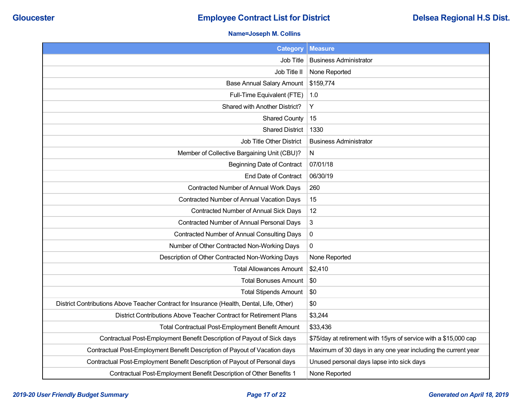### **Name=Joseph M. Collins**

| <b>Category</b>                                                                           | <b>Measure</b>                                                   |
|-------------------------------------------------------------------------------------------|------------------------------------------------------------------|
| Job Title                                                                                 | <b>Business Administrator</b>                                    |
| Job Title II                                                                              | None Reported                                                    |
| <b>Base Annual Salary Amount</b>                                                          | \$159,774                                                        |
| Full-Time Equivalent (FTE)                                                                | 1.0                                                              |
| Shared with Another District?                                                             | Y                                                                |
| <b>Shared County</b>                                                                      | 15                                                               |
| <b>Shared District</b>                                                                    | 1330                                                             |
| Job Title Other District                                                                  | <b>Business Administrator</b>                                    |
| Member of Collective Bargaining Unit (CBU)?                                               | N                                                                |
| <b>Beginning Date of Contract</b>                                                         | 07/01/18                                                         |
| End Date of Contract                                                                      | 06/30/19                                                         |
| Contracted Number of Annual Work Days                                                     | 260                                                              |
| Contracted Number of Annual Vacation Days                                                 | 15                                                               |
| Contracted Number of Annual Sick Days                                                     | 12                                                               |
| Contracted Number of Annual Personal Days                                                 | 3                                                                |
| Contracted Number of Annual Consulting Days                                               | $\boldsymbol{0}$                                                 |
| Number of Other Contracted Non-Working Days                                               | $\Omega$                                                         |
| Description of Other Contracted Non-Working Days                                          | None Reported                                                    |
| <b>Total Allowances Amount</b>                                                            | \$2,410                                                          |
| <b>Total Bonuses Amount</b>                                                               | \$0                                                              |
| <b>Total Stipends Amount</b>                                                              | \$0                                                              |
| District Contributions Above Teacher Contract for Insurance (Health, Dental, Life, Other) | \$0                                                              |
| District Contributions Above Teacher Contract for Retirement Plans                        | \$3,244                                                          |
| Total Contractual Post-Employment Benefit Amount                                          | \$33,436                                                         |
| Contractual Post-Employment Benefit Description of Payout of Sick days                    | \$75/day at retirement with 15yrs of service with a \$15,000 cap |
| Contractual Post-Employment Benefit Description of Payout of Vacation days                | Maximum of 30 days in any one year including the current year    |
| Contractual Post-Employment Benefit Description of Payout of Personal days                | Unused personal days lapse into sick days                        |
| Contractual Post-Employment Benefit Description of Other Benefits 1                       | None Reported                                                    |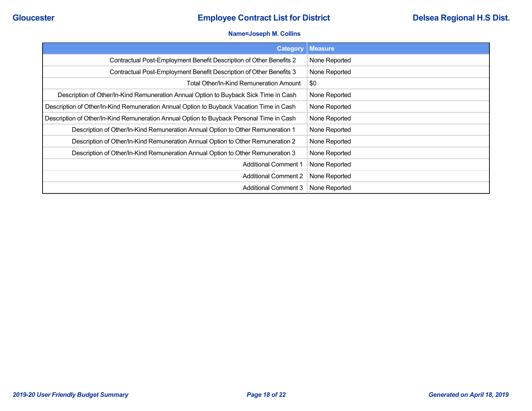## **Cloucester Employee Contract List for District Employee Contract List for District Delsea Regional H.S Dist.**

#### **Name=Joseph M. Collins**

| <b>Category</b>                                                                          | <b>Measure</b> |
|------------------------------------------------------------------------------------------|----------------|
| Contractual Post-Employment Benefit Description of Other Benefits 2                      | None Reported  |
| Contractual Post-Employment Benefit Description of Other Benefits 3                      | None Reported  |
| Total Other/In-Kind Remuneration Amount                                                  | \$0            |
| Description of Other/In-Kind Remuneration Annual Option to Buyback Sick Time in Cash     | None Reported  |
| Description of Other/In-Kind Remuneration Annual Option to Buyback Vacation Time in Cash | None Reported  |
| Description of Other/In-Kind Remuneration Annual Option to Buyback Personal Time in Cash | None Reported  |
| Description of Other/In-Kind Remuneration Annual Option to Other Remuneration 1          | None Reported  |
| Description of Other/In-Kind Remuneration Annual Option to Other Remuneration 2          | None Reported  |
| Description of Other/In-Kind Remuneration Annual Option to Other Remuneration 3          | None Reported  |
| <b>Additional Comment 1</b>                                                              | None Reported  |
| <b>Additional Comment 2</b>                                                              | None Reported  |
| <b>Additional Comment 3</b>                                                              | None Reported  |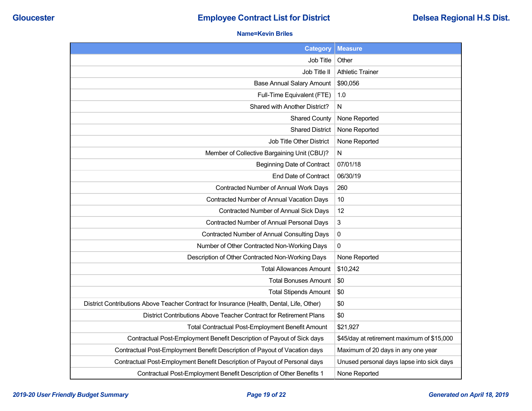### **Name=Kevin Briles**

| <b>Category</b>                                                                           | <b>Measure</b>                             |
|-------------------------------------------------------------------------------------------|--------------------------------------------|
| Job Title                                                                                 | Other                                      |
| Job Title II                                                                              | <b>Athletic Trainer</b>                    |
| <b>Base Annual Salary Amount</b>                                                          | \$90,056                                   |
| Full-Time Equivalent (FTE)                                                                | 1.0                                        |
| Shared with Another District?                                                             | N                                          |
| <b>Shared County</b>                                                                      | None Reported                              |
| <b>Shared District</b>                                                                    | None Reported                              |
| Job Title Other District                                                                  | None Reported                              |
| Member of Collective Bargaining Unit (CBU)?                                               | N                                          |
| <b>Beginning Date of Contract</b>                                                         | 07/01/18                                   |
| End Date of Contract                                                                      | 06/30/19                                   |
| Contracted Number of Annual Work Days                                                     | 260                                        |
| Contracted Number of Annual Vacation Days                                                 | 10                                         |
| Contracted Number of Annual Sick Days                                                     | 12                                         |
| Contracted Number of Annual Personal Days                                                 | 3                                          |
| Contracted Number of Annual Consulting Days                                               | 0                                          |
| Number of Other Contracted Non-Working Days                                               | $\mathbf{0}$                               |
| Description of Other Contracted Non-Working Days                                          | None Reported                              |
| <b>Total Allowances Amount</b>                                                            | \$10,242                                   |
| <b>Total Bonuses Amount</b>                                                               | \$0                                        |
| <b>Total Stipends Amount</b>                                                              | \$0                                        |
| District Contributions Above Teacher Contract for Insurance (Health, Dental, Life, Other) | \$0                                        |
| District Contributions Above Teacher Contract for Retirement Plans                        | \$0                                        |
| <b>Total Contractual Post-Employment Benefit Amount</b>                                   | \$21,927                                   |
| Contractual Post-Employment Benefit Description of Payout of Sick days                    | \$45/day at retirement maximum of \$15,000 |
| Contractual Post-Employment Benefit Description of Payout of Vacation days                | Maximum of 20 days in any one year         |
| Contractual Post-Employment Benefit Description of Payout of Personal days                | Unused personal days lapse into sick days  |
| Contractual Post-Employment Benefit Description of Other Benefits 1                       | None Reported                              |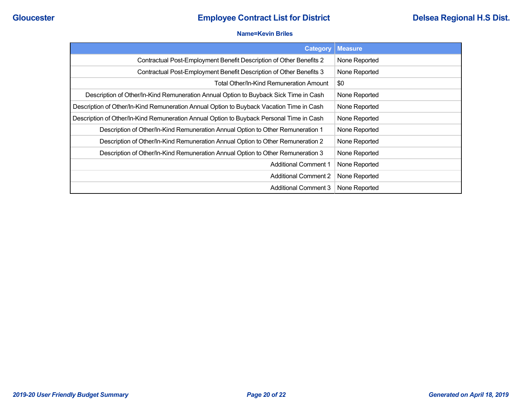#### **Name=Kevin Briles**

| Category                                                                                 | <b>Measure</b> |
|------------------------------------------------------------------------------------------|----------------|
| Contractual Post-Employment Benefit Description of Other Benefits 2                      | None Reported  |
| Contractual Post-Employment Benefit Description of Other Benefits 3                      | None Reported  |
| Total Other/In-Kind Remuneration Amount                                                  | \$0            |
| Description of Other/In-Kind Remuneration Annual Option to Buyback Sick Time in Cash     | None Reported  |
| Description of Other/In-Kind Remuneration Annual Option to Buyback Vacation Time in Cash | None Reported  |
| Description of Other/In-Kind Remuneration Annual Option to Buyback Personal Time in Cash | None Reported  |
| Description of Other/In-Kind Remuneration Annual Option to Other Remuneration 1          | None Reported  |
| Description of Other/In-Kind Remuneration Annual Option to Other Remuneration 2          | None Reported  |
| Description of Other/In-Kind Remuneration Annual Option to Other Remuneration 3          | None Reported  |
| <b>Additional Comment 1</b>                                                              | None Reported  |
| <b>Additional Comment 2</b>                                                              | None Reported  |
| <b>Additional Comment 3</b>                                                              | None Reported  |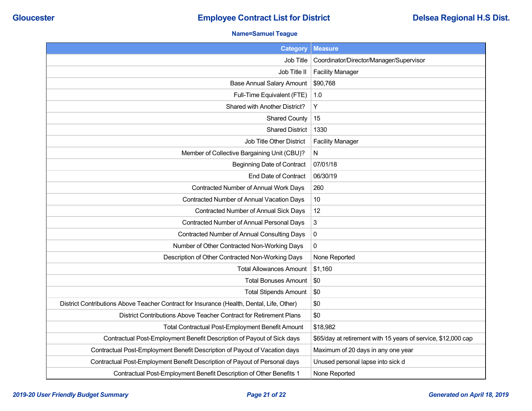### **Name=Samuel Teague**

| <b>Category</b>                                                                           | <b>Measure</b>                                                |
|-------------------------------------------------------------------------------------------|---------------------------------------------------------------|
| Job Title                                                                                 | Coordinator/Director/Manager/Supervisor                       |
| Job Title II                                                                              | <b>Facility Manager</b>                                       |
| <b>Base Annual Salary Amount</b>                                                          | \$90,768                                                      |
| Full-Time Equivalent (FTE)                                                                | 1.0                                                           |
| Shared with Another District?                                                             | Y                                                             |
| <b>Shared County</b>                                                                      | 15                                                            |
| <b>Shared District</b>                                                                    | 1330                                                          |
| Job Title Other District                                                                  | <b>Facility Manager</b>                                       |
| Member of Collective Bargaining Unit (CBU)?                                               | N                                                             |
| <b>Beginning Date of Contract</b>                                                         | 07/01/18                                                      |
| End Date of Contract                                                                      | 06/30/19                                                      |
| Contracted Number of Annual Work Days                                                     | 260                                                           |
| Contracted Number of Annual Vacation Days                                                 | 10                                                            |
| Contracted Number of Annual Sick Days                                                     | 12                                                            |
| Contracted Number of Annual Personal Days                                                 | 3                                                             |
| <b>Contracted Number of Annual Consulting Days</b>                                        | 0                                                             |
| Number of Other Contracted Non-Working Days                                               | 0                                                             |
| Description of Other Contracted Non-Working Days                                          | None Reported                                                 |
| <b>Total Allowances Amount</b>                                                            | \$1,160                                                       |
| <b>Total Bonuses Amount</b>                                                               | \$0                                                           |
| <b>Total Stipends Amount</b>                                                              | \$0                                                           |
| District Contributions Above Teacher Contract for Insurance (Health, Dental, Life, Other) | \$0                                                           |
| District Contributions Above Teacher Contract for Retirement Plans                        | \$0                                                           |
| <b>Total Contractual Post-Employment Benefit Amount</b>                                   | \$18,982                                                      |
| Contractual Post-Employment Benefit Description of Payout of Sick days                    | \$65/day at retirement with 15 years of service, \$12,000 cap |
| Contractual Post-Employment Benefit Description of Payout of Vacation days                | Maximum of 20 days in any one year                            |
| Contractual Post-Employment Benefit Description of Payout of Personal days                | Unused personal lapse into sick d                             |
| Contractual Post-Employment Benefit Description of Other Benefits 1                       | None Reported                                                 |